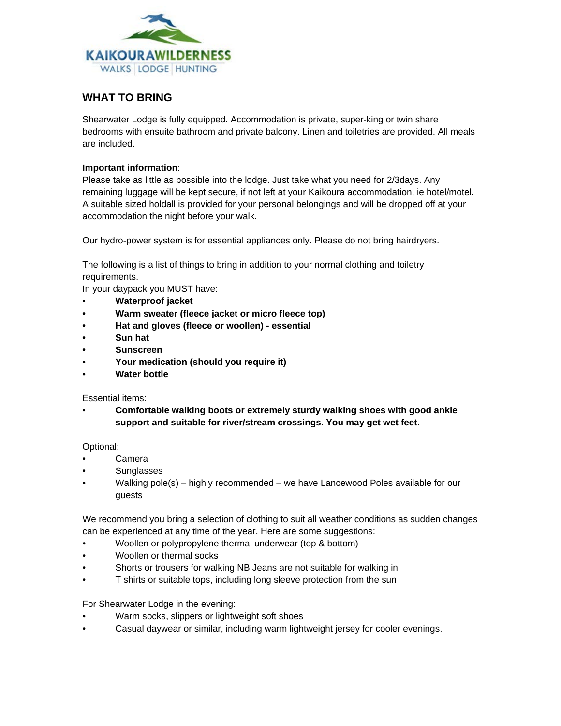

## **WHAT TO BRING**

Shearwater Lodge is fully equipped. Accommodation is private, super-king or twin share bedrooms with ensuite bathroom and private balcony. Linen and toiletries are provided. All meals are included.

## **Important information**:

Please take as little as possible into the lodge. Just take what you need for 2/3days. Any remaining luggage will be kept secure, if not left at your Kaikoura accommodation, ie hotel/motel. A suitable sized holdall is provided for your personal belongings and will be dropped off at your accommodation the night before your walk.

Our hydro-power system is for essential appliances only. Please do not bring hairdryers.

The following is a list of things to bring in addition to your normal clothing and toiletry requirements.

In your daypack you MUST have:

- **Waterproof jacket**
- **• Warm sweater (fleece jacket or micro fleece top)**
- **• Hat and gloves (fleece or woollen) - essential**
- **• Sun hat**
- **• Sunscreen**
- **• Your medication (should you require it)**
- **• Water bottle**

Essential items:

• **Comfortable walking boots or extremely sturdy walking shoes with good ankle support and suitable for river/stream crossings. You may get wet feet.**

Optional:

- **Camera**
- Sunglasses
- Walking pole(s) highly recommended we have Lancewood Poles available for our guests

We recommend you bring a selection of clothing to suit all weather conditions as sudden changes can be experienced at any time of the year. Here are some suggestions:

- Woollen or polypropylene thermal underwear (top & bottom)
- Woollen or thermal socks
- Shorts or trousers for walking NB Jeans are not suitable for walking in
- T shirts or suitable tops, including long sleeve protection from the sun

For Shearwater Lodge in the evening:

- Warm socks, slippers or lightweight soft shoes
- Casual daywear or similar, including warm lightweight jersey for cooler evenings.